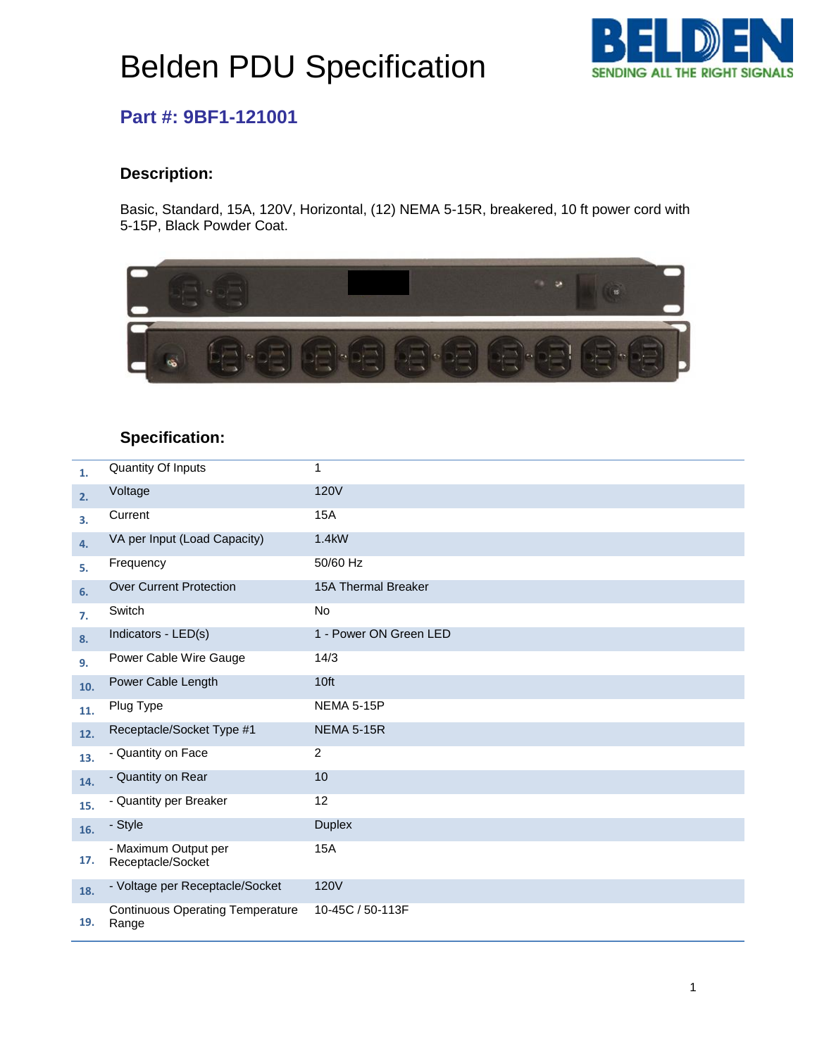# Belden PDU Specification



### **Part #: 9BF1-121001**

#### **Description:**

Basic, Standard, 15A, 120V, Horizontal, (12) NEMA 5-15R, breakered, 10 ft power cord with 5-15P, Black Powder Coat.



### **Specification:**

| 1.  | <b>Quantity Of Inputs</b>                        | 1                          |
|-----|--------------------------------------------------|----------------------------|
| 2.  | Voltage                                          | <b>120V</b>                |
| 3.  | Current                                          | <b>15A</b>                 |
| 4.  | VA per Input (Load Capacity)                     | 1.4kW                      |
| 5.  | Frequency                                        | 50/60 Hz                   |
| 6.  | <b>Over Current Protection</b>                   | <b>15A Thermal Breaker</b> |
| 7.  | Switch                                           | <b>No</b>                  |
| 8.  | Indicators - LED(s)                              | 1 - Power ON Green LED     |
| 9.  | Power Cable Wire Gauge                           | 14/3                       |
| 10. | Power Cable Length                               | 10ft                       |
| 11. | Plug Type                                        | <b>NEMA 5-15P</b>          |
| 12. | Receptacle/Socket Type #1                        | <b>NEMA 5-15R</b>          |
| 13. | - Quantity on Face                               | $\overline{2}$             |
| 14. | - Quantity on Rear                               | 10                         |
| 15. | - Quantity per Breaker                           | 12                         |
| 16. | - Style                                          | <b>Duplex</b>              |
| 17. | - Maximum Output per<br>Receptacle/Socket        | <b>15A</b>                 |
| 18. | - Voltage per Receptacle/Socket                  | <b>120V</b>                |
| 19. | <b>Continuous Operating Temperature</b><br>Range | 10-45C / 50-113F           |

pulled and the control of the control of the control of the control of the control of the control of the control of the control of the control of the control of the control of the control of the control of the control of t